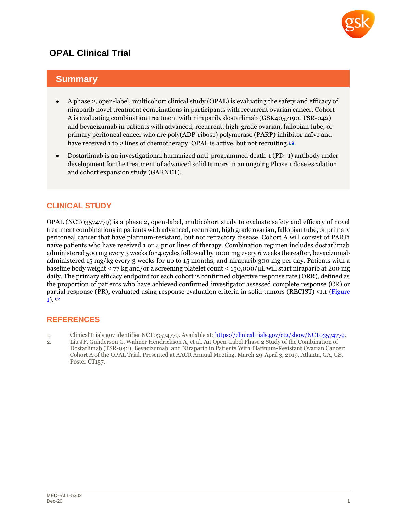

# **OPAL Clinical Trial**

# **Summary**

- A phase 2, open-label, multicohort clinical study (OPAL) is evaluating the safety and efficacy of niraparib novel treatment combinations in participants with recurrent ovarian cancer. Cohort A is evaluating combination treatment with niraparib, dostarlimab (GSK4057190, TSR-042) and bevacizumab in patients with advanced, recurrent, high-grade ovarian, fallopian tube, or primary peritoneal cancer who are poly(ADP-ribose) polymerase (PARP) inhibitor naïve and have received 1 to [2](#page-0-1) lines of chemotherapy. OPAL is active, but not recruiting.<sup>12</sup>
- Dostarlimab is an investigational humanized anti-programmed death-1 (PD- 1) antibody under development for the treatment of advanced solid tumors in an ongoing Phase 1 dose escalation and cohort expansion study (GARNET).

## **CLINICAL STUDY**

OPAL (NCT03574779) is a phase 2, open-label, multicohort study to evaluate safety and efficacy of novel treatment combinations in patients with advanced, recurrent, high grade ovarian, fallopian tube, or primary peritoneal cancer that have platinum-resistant, but not refractory disease. Cohort A will consist of PARPi naïve patients who have received 1 or 2 prior lines of therapy. Combination regimen includes dostarlimab administered 500 mg every 3 weeks for 4 cycles followed by 1000 mg every 6 weeks thereafter, bevacizumab administered 15 mg/kg every 3 weeks for up to 15 months, and niraparib 300 mg per day. Patients with a baseline body weight < 77 kg and/or a screening platelet count < 150,000/μL will start niraparib at 200 mg daily. The primary efficacy endpoint for each cohort is confirmed objective response rate (ORR), defined as the proportion of patients who have achieved confirmed investigator assessed complete response (CR) or partial response (PR), evaluated using response evaluation criteria in solid tumors (RECIST) v1.1 [\(Figure](#page-1-0)   $1)$ .  $1,2$  $1,2$ 

### **REFERENCES**

- <span id="page-0-0"></span>1. ClinicalTrials.gov identifier NCT03574779. Available at: [https://clinicaltrials.gov/ct2/show/NCT03574779.](https://clinicaltrials.gov/ct2/show/NCT03574779)
- <span id="page-0-1"></span>2. Liu JF, Gunderson C, Wahner Hendrickson A, et al. An Open-Label Phase 2 Study of the Combination of Dostarlimab (TSR-042), Bevacizumab, and Niraparib in Patients With Platinum-Resistant Ovarian Cancer: Cohort A of the OPAL Trial. Presented at AACR Annual Meeting, March 29-April 3, 2019, Atlanta, GA, US. Poster CT<sub>157</sub>.